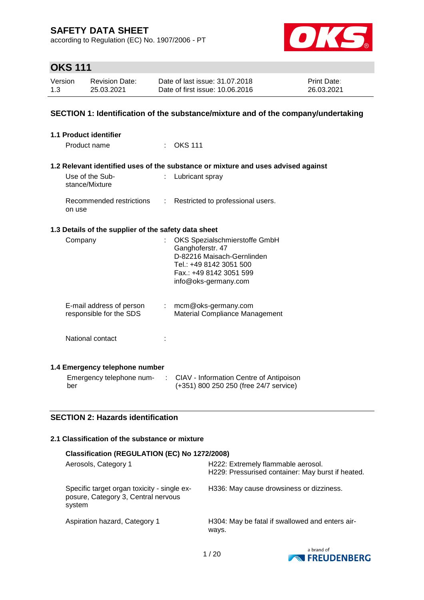according to Regulation (EC) No. 1907/2006 - PT



# **OKS 111**

| Version | Revision Date: | Date of last issue: 31,07,2018  | <b>Print Date:</b> |
|---------|----------------|---------------------------------|--------------------|
| 1.3     | 25.03.2021     | Date of first issue: 10.06.2016 | 26.03.2021         |

#### **SECTION 1: Identification of the substance/mixture and of the company/undertaking**

| 1.1 Product identifier                               |                           |                                                                                                                                                               |
|------------------------------------------------------|---------------------------|---------------------------------------------------------------------------------------------------------------------------------------------------------------|
| Product name                                         |                           | OKS 111                                                                                                                                                       |
|                                                      |                           | 1.2 Relevant identified uses of the substance or mixture and uses advised against                                                                             |
| Use of the Sub-<br>stance/Mixture                    |                           | Lubricant spray                                                                                                                                               |
| Recommended restrictions<br>on use                   | $\mathbb{R}^{\mathbb{Z}}$ | Restricted to professional users.                                                                                                                             |
| 1.3 Details of the supplier of the safety data sheet |                           |                                                                                                                                                               |
| Company                                              |                           | OKS Spezialschmierstoffe GmbH<br>Ganghoferstr. 47<br>D-82216 Maisach-Gernlinden<br>Tel.: +49 8142 3051 500<br>Fax.: +49 8142 3051 599<br>info@oks-germany.com |
| E-mail address of person<br>responsible for the SDS  |                           | $:$ mcm@oks-germany.com<br>Material Compliance Management                                                                                                     |
| National contact                                     |                           |                                                                                                                                                               |
| 1.4 Emergency telephone number                       |                           |                                                                                                                                                               |
| ber                                                  |                           | Emergency telephone num- : CIAV - Information Centre of Antipoison<br>(+351) 800 250 250 (free 24/7 service)                                                  |

### **SECTION 2: Hazards identification**

#### **2.1 Classification of the substance or mixture**

### **Classification (REGULATION (EC) No 1272/2008)**

| Aerosols, Category 1                                                                         | H222: Extremely flammable aerosol.<br>H229: Pressurised container: May burst if heated. |
|----------------------------------------------------------------------------------------------|-----------------------------------------------------------------------------------------|
| Specific target organ toxicity - single ex-<br>posure, Category 3, Central nervous<br>system | H336: May cause drowsiness or dizziness.                                                |
| Aspiration hazard, Category 1                                                                | H304: May be fatal if swallowed and enters air-<br>ways.                                |

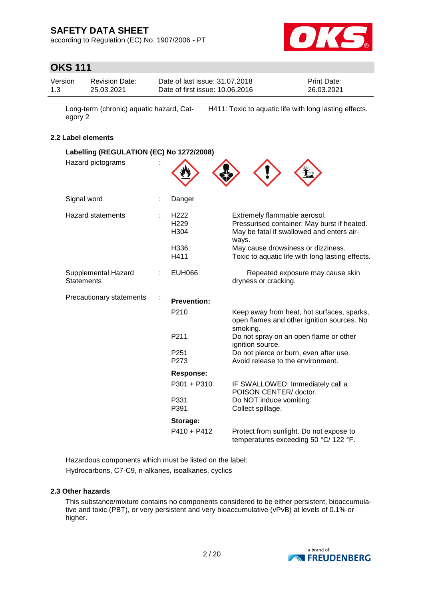according to Regulation (EC) No. 1907/2006 - PT



### **OKS 111**

| Version | <b>Revision Date:</b> | Date of last issue: 31.07.2018  | <b>Print Date:</b> |
|---------|-----------------------|---------------------------------|--------------------|
| 1.3     | 25.03.2021            | Date of first issue: 10.06.2016 | 26.03.2021         |

Long-term (chronic) aquatic hazard, Category 2 H411: Toxic to aquatic life with long lasting effects.

#### **2.2 Label elements**

| Labelling (REGULATION (EC) No 1272/2008) |  |                                              |                                                                                                                                   |  |  |
|------------------------------------------|--|----------------------------------------------|-----------------------------------------------------------------------------------------------------------------------------------|--|--|
| Hazard pictograms                        |  |                                              |                                                                                                                                   |  |  |
| Signal word                              |  | Danger                                       |                                                                                                                                   |  |  |
| <b>Hazard statements</b>                 |  | H <sub>222</sub><br>H <sub>229</sub><br>H304 | Extremely flammable aerosol.<br>Pressurised container: May burst if heated.<br>May be fatal if swallowed and enters air-<br>ways. |  |  |
|                                          |  | H336<br>H411                                 | May cause drowsiness or dizziness.<br>Toxic to aquatic life with long lasting effects.                                            |  |  |
| Supplemental Hazard<br><b>Statements</b> |  | <b>EUH066</b>                                | Repeated exposure may cause skin<br>dryness or cracking.                                                                          |  |  |
| Precautionary statements                 |  | <b>Prevention:</b>                           |                                                                                                                                   |  |  |
|                                          |  | P <sub>210</sub>                             | Keep away from heat, hot surfaces, sparks,<br>open flames and other ignition sources. No<br>smoking.                              |  |  |
|                                          |  | P211                                         | Do not spray on an open flame or other<br>ignition source.                                                                        |  |  |
|                                          |  | P <sub>251</sub><br>P273                     | Do not pierce or burn, even after use.<br>Avoid release to the environment.                                                       |  |  |
|                                          |  | <b>Response:</b>                             |                                                                                                                                   |  |  |
|                                          |  | P301 + P310                                  | IF SWALLOWED: Immediately call a<br>POISON CENTER/ doctor.                                                                        |  |  |
|                                          |  | P331<br>P391                                 | Do NOT induce vomiting.<br>Collect spillage.                                                                                      |  |  |
|                                          |  | Storage:                                     |                                                                                                                                   |  |  |
|                                          |  | $P410 + P412$                                | Protect from sunlight. Do not expose to<br>temperatures exceeding 50 °C/ 122 °F.                                                  |  |  |

Hazardous components which must be listed on the label: Hydrocarbons, C7-C9, n-alkanes, isoalkanes, cyclics

#### **2.3 Other hazards**

This substance/mixture contains no components considered to be either persistent, bioaccumulative and toxic (PBT), or very persistent and very bioaccumulative (vPvB) at levels of 0.1% or higher.

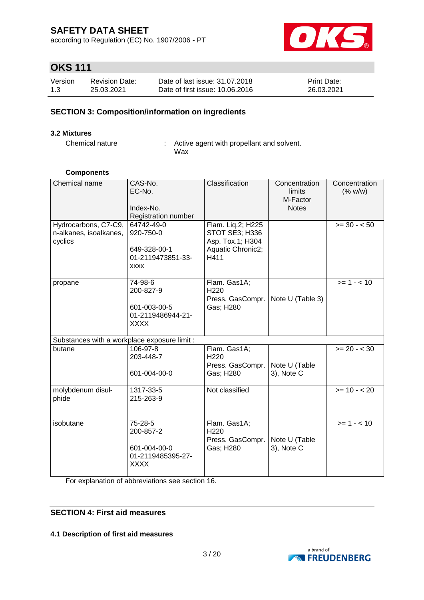according to Regulation (EC) No. 1907/2006 - PT



# **OKS 111**

| Version | <b>Revision Date:</b> | Date of last issue: 31.07.2018  | <b>Print Date:</b> |
|---------|-----------------------|---------------------------------|--------------------|
| 1.3     | 25.03.2021            | Date of first issue: 10.06.2016 | 26.03.2021         |

### **SECTION 3: Composition/information on ingredients**

#### **3.2 Mixtures**

Chemical nature : Active agent with propellant and solvent. Wax

#### **Components**

| Chemical name<br>Hydrocarbons, C7-C9,<br>n-alkanes, isoalkanes, | CAS-No.<br>EC-No.<br>Index-No.<br>Registration number<br>64742-49-0<br>920-750-0 | Classification<br>Flam. Liq.2; H225<br>STOT SE3; H336             | Concentration<br>limits<br>M-Factor<br><b>Notes</b> | Concentration<br>(% w/w)<br>$>= 30 - 50$ |
|-----------------------------------------------------------------|----------------------------------------------------------------------------------|-------------------------------------------------------------------|-----------------------------------------------------|------------------------------------------|
| cyclics                                                         | 649-328-00-1<br>01-2119473851-33-<br><b>XXXX</b>                                 | Asp. Tox.1; H304<br>Aquatic Chronic2;<br>H411                     |                                                     |                                          |
| propane                                                         | 74-98-6<br>200-827-9<br>601-003-00-5<br>01-2119486944-21-<br><b>XXXX</b>         | Flam. Gas1A;<br>H <sub>220</sub><br>Press. GasCompr.<br>Gas; H280 | Note U (Table 3)                                    | $>= 1 - 10$                              |
| Substances with a workplace exposure limit :                    |                                                                                  |                                                                   |                                                     |                                          |
| butane                                                          | 106-97-8<br>203-448-7<br>601-004-00-0                                            | Flam. Gas1A;<br>H220<br>Press. GasCompr.<br>Gas; H280             | Note U (Table<br>3), Note C                         | $>= 20 - < 30$                           |
| molybdenum disul-<br>phide                                      | 1317-33-5<br>215-263-9                                                           | Not classified                                                    |                                                     | $>= 10 - 20$                             |
| isobutane                                                       | 75-28-5<br>200-857-2<br>601-004-00-0<br>01-2119485395-27-<br>XXXX                | Flam. Gas1A;<br>H <sub>220</sub><br>Press. GasCompr.<br>Gas; H280 | Note U (Table<br>3), Note C                         | $>= 1 - 10$                              |

For explanation of abbreviations see section 16.

### **SECTION 4: First aid measures**

#### **4.1 Description of first aid measures**

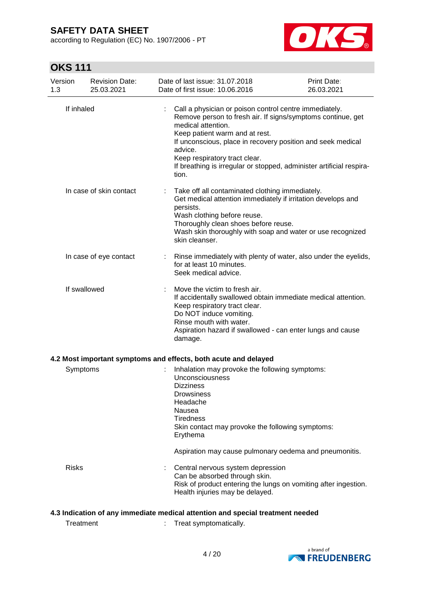according to Regulation (EC) No. 1907/2006 - PT



# **OKS 111**

| Version<br>1.3                                                                 | <b>Revision Date:</b><br>25.03.2021 |  | Date of last issue: 31.07.2018<br>Date of first issue: 10.06.2016                                                                                                                                                                                                                                                                                                         | Print Date:<br>26.03.2021 |
|--------------------------------------------------------------------------------|-------------------------------------|--|---------------------------------------------------------------------------------------------------------------------------------------------------------------------------------------------------------------------------------------------------------------------------------------------------------------------------------------------------------------------------|---------------------------|
|                                                                                | If inhaled                          |  | Call a physician or poison control centre immediately.<br>Remove person to fresh air. If signs/symptoms continue, get<br>medical attention.<br>Keep patient warm and at rest.<br>If unconscious, place in recovery position and seek medical<br>advice.<br>Keep respiratory tract clear.<br>If breathing is irregular or stopped, administer artificial respira-<br>tion. |                           |
|                                                                                | In case of skin contact             |  | Take off all contaminated clothing immediately.<br>Get medical attention immediately if irritation develops and<br>persists.<br>Wash clothing before reuse.<br>Thoroughly clean shoes before reuse.<br>Wash skin thoroughly with soap and water or use recognized<br>skin cleanser.                                                                                       |                           |
|                                                                                | In case of eye contact              |  | Rinse immediately with plenty of water, also under the eyelids,<br>for at least 10 minutes.<br>Seek medical advice.                                                                                                                                                                                                                                                       |                           |
|                                                                                | If swallowed                        |  | Move the victim to fresh air.<br>If accidentally swallowed obtain immediate medical attention.<br>Keep respiratory tract clear.<br>Do NOT induce vomiting.<br>Rinse mouth with water.<br>Aspiration hazard if swallowed - can enter lungs and cause<br>damage.                                                                                                            |                           |
|                                                                                |                                     |  | 4.2 Most important symptoms and effects, both acute and delayed                                                                                                                                                                                                                                                                                                           |                           |
|                                                                                | Symptoms                            |  | Inhalation may provoke the following symptoms:<br><b>Unconsciousness</b><br><b>Dizziness</b><br>Drowsiness<br>Headache<br>Nausea<br><b>Tiredness</b><br>Skin contact may provoke the following symptoms:<br>Erythema                                                                                                                                                      |                           |
|                                                                                |                                     |  | Aspiration may cause pulmonary oedema and pneumonitis.                                                                                                                                                                                                                                                                                                                    |                           |
| <b>Risks</b>                                                                   |                                     |  | Central nervous system depression<br>Can be absorbed through skin.<br>Risk of product entering the lungs on vomiting after ingestion.<br>Health injuries may be delayed.                                                                                                                                                                                                  |                           |
| 4.3 Indication of any immediate medical attention and special treatment needed |                                     |  |                                                                                                                                                                                                                                                                                                                                                                           |                           |

Treatment : Treat symptomatically.

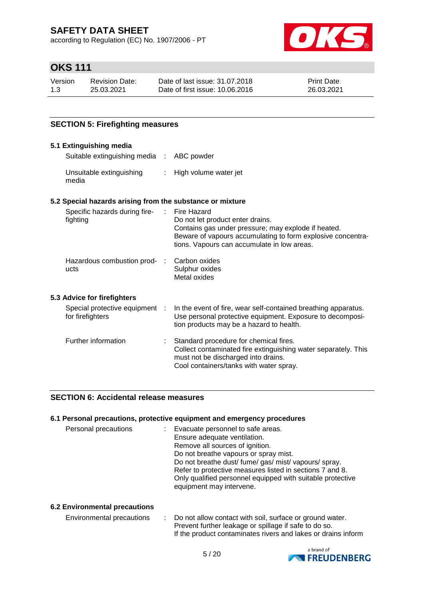according to Regulation (EC) No. 1907/2006 - PT



### **OKS 111**

| Version | Revision Date: | Date of last issue: 31.07.2018  | <b>Print Date:</b> |
|---------|----------------|---------------------------------|--------------------|
| 1.3     | 25.03.2021     | Date of first issue: 10.06.2016 | 26.03.2021         |

### **SECTION 5: Firefighting measures**

#### **5.1 Extinguishing media** Suitable extinguishing media : ABC powder Unsuitable extinguishing media : High volume water jet **5.2 Special hazards arising from the substance or mixture** Specific hazards during firefighting : Fire Hazard Do not let product enter drains. Contains gas under pressure; may explode if heated. Beware of vapours accumulating to form explosive concentrations. Vapours can accumulate in low areas. Hazardous combustion prod- : ucts Carbon oxides Sulphur oxides Metal oxides **5.3 Advice for firefighters** Special protective equipment : for firefighters : In the event of fire, wear self-contained breathing apparatus. Use personal protective equipment. Exposure to decomposition products may be a hazard to health. Further information : Standard procedure for chemical fires. Collect contaminated fire extinguishing water separately. This must not be discharged into drains. Cool containers/tanks with water spray.

#### **SECTION 6: Accidental release measures**

#### **6.1 Personal precautions, protective equipment and emergency procedures**

| Personal precautions | Evacuate personnel to safe areas.<br>Ensure adequate ventilation.<br>Remove all sources of ignition.<br>Do not breathe vapours or spray mist.<br>Do not breathe dust/fume/gas/mist/vapours/spray.<br>Refer to protective measures listed in sections 7 and 8. |
|----------------------|---------------------------------------------------------------------------------------------------------------------------------------------------------------------------------------------------------------------------------------------------------------|
|                      | Only qualified personnel equipped with suitable protective<br>equipment may intervene.                                                                                                                                                                        |

#### **6.2 Environmental precautions**

| Environmental precautions | : Do not allow contact with soil, surface or ground water.    |
|---------------------------|---------------------------------------------------------------|
|                           | Prevent further leakage or spillage if safe to do so.         |
|                           | If the product contaminates rivers and lakes or drains inform |

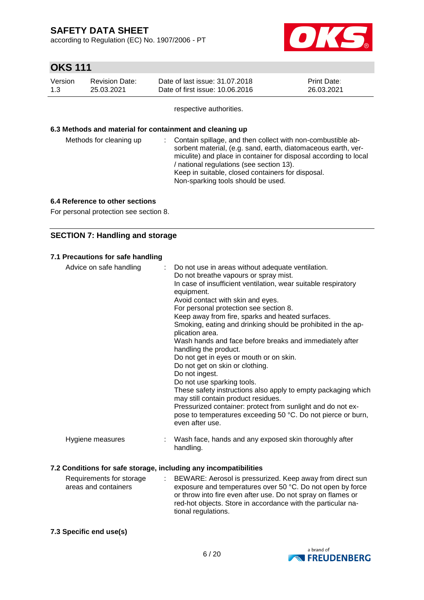according to Regulation (EC) No. 1907/2006 - PT



# **OKS 111**

| Version | <b>Revision Date:</b> | Date of last issue: 31,07,2018  | <b>Print Date:</b> |
|---------|-----------------------|---------------------------------|--------------------|
| 1.3     | 25.03.2021            | Date of first issue: 10.06.2016 | 26.03.2021         |

respective authorities.

#### **6.3 Methods and material for containment and cleaning up**

| Methods for cleaning up | : Contain spillage, and then collect with non-combustible ab-<br>sorbent material, (e.g. sand, earth, diatomaceous earth, ver-<br>miculite) and place in container for disposal according to local<br>/ national regulations (see section 13).<br>Keep in suitable, closed containers for disposal.<br>Non-sparking tools should be used. |
|-------------------------|-------------------------------------------------------------------------------------------------------------------------------------------------------------------------------------------------------------------------------------------------------------------------------------------------------------------------------------------|
|                         |                                                                                                                                                                                                                                                                                                                                           |

#### **6.4 Reference to other sections**

For personal protection see section 8.

### **SECTION 7: Handling and storage**

#### **7.1 Precautions for safe handling**

| Advice on safe handling                                          | Do not use in areas without adequate ventilation.<br>÷.<br>Do not breathe vapours or spray mist.<br>In case of insufficient ventilation, wear suitable respiratory<br>equipment.<br>Avoid contact with skin and eyes.<br>For personal protection see section 8.<br>Keep away from fire, sparks and heated surfaces.<br>Smoking, eating and drinking should be prohibited in the ap-<br>plication area.<br>Wash hands and face before breaks and immediately after<br>handling the product.<br>Do not get in eyes or mouth or on skin.<br>Do not get on skin or clothing.<br>Do not ingest.<br>Do not use sparking tools.<br>These safety instructions also apply to empty packaging which<br>may still contain product residues.<br>Pressurized container: protect from sunlight and do not ex- |
|------------------------------------------------------------------|-------------------------------------------------------------------------------------------------------------------------------------------------------------------------------------------------------------------------------------------------------------------------------------------------------------------------------------------------------------------------------------------------------------------------------------------------------------------------------------------------------------------------------------------------------------------------------------------------------------------------------------------------------------------------------------------------------------------------------------------------------------------------------------------------|
|                                                                  | pose to temperatures exceeding 50 °C. Do not pierce or burn,<br>even after use.                                                                                                                                                                                                                                                                                                                                                                                                                                                                                                                                                                                                                                                                                                                 |
| Hygiene measures                                                 | Wash face, hands and any exposed skin thoroughly after<br>handling.                                                                                                                                                                                                                                                                                                                                                                                                                                                                                                                                                                                                                                                                                                                             |
| 7.2 Conditions for safe storage, including any incompatibilities |                                                                                                                                                                                                                                                                                                                                                                                                                                                                                                                                                                                                                                                                                                                                                                                                 |

#### Requirements for storage areas and containers : BEWARE: Aerosol is pressurized. Keep away from direct sun exposure and temperatures over 50 °C. Do not open by force or throw into fire even after use. Do not spray on flames or red-hot objects. Store in accordance with the particular national regulations.

### **7.3 Specific end use(s)**

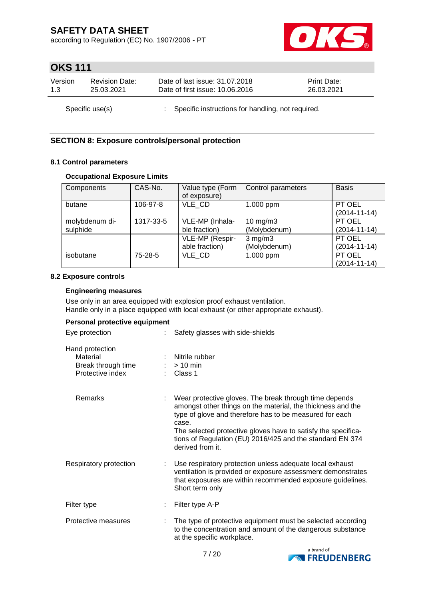according to Regulation (EC) No. 1907/2006 - PT



### **OKS 111**

| Version         | <b>Revision Date:</b> | Date of last issue: 31.07.2018                      | <b>Print Date:</b> |
|-----------------|-----------------------|-----------------------------------------------------|--------------------|
| 1.3             | 25.03.2021            | Date of first issue: 10.06.2016                     | 26.03.2021         |
| Specific use(s) |                       | : Specific instructions for handling, not required. |                    |

### **SECTION 8: Exposure controls/personal protection**

#### **8.1 Control parameters**

#### **Occupational Exposure Limits**

| CAS-No.<br>Components |           | Value type (Form | Control parameters  | <b>Basis</b>       |
|-----------------------|-----------|------------------|---------------------|--------------------|
|                       |           | of exposure)     |                     |                    |
| butane                | 106-97-8  | VLE CD           | 1.000 ppm           | PT OEL             |
|                       |           |                  |                     | $(2014 - 11 - 14)$ |
| molybdenum di-        | 1317-33-5 | VLE-MP (Inhala-  | $10 \text{ mg/m}$ 3 | PT OEL             |
| sulphide              |           | ble fraction)    | (Molybdenum)        | $(2014 - 11 - 14)$ |
|                       |           | VLE-MP (Respir-  | $3$ mg/m $3$        | PT OEL             |
|                       |           | able fraction)   | (Molybdenum)        | $(2014 - 11 - 14)$ |
| isobutane             | $75-28-5$ | VLE CD           | 1.000 ppm           | PT OEL             |
|                       |           |                  |                     | $(2014 - 11 - 14)$ |

#### **8.2 Exposure controls**

#### **Engineering measures**

Use only in an area equipped with explosion proof exhaust ventilation. Handle only in a place equipped with local exhaust (or other appropriate exhaust).

#### **Personal protective equipment**

| Eye protection                                                        | Safety glasses with side-shields                                                                                                                                                                                                                                                                                                            |
|-----------------------------------------------------------------------|---------------------------------------------------------------------------------------------------------------------------------------------------------------------------------------------------------------------------------------------------------------------------------------------------------------------------------------------|
| Hand protection<br>Material<br>Break through time<br>Protective index | Nitrile rubber<br>$>10$ min<br>: Class 1                                                                                                                                                                                                                                                                                                    |
| Remarks                                                               | Wear protective gloves. The break through time depends<br>amongst other things on the material, the thickness and the<br>type of glove and therefore has to be measured for each<br>case.<br>The selected protective gloves have to satisfy the specifica-<br>tions of Regulation (EU) 2016/425 and the standard EN 374<br>derived from it. |
| Respiratory protection                                                | Use respiratory protection unless adequate local exhaust<br>ventilation is provided or exposure assessment demonstrates<br>that exposures are within recommended exposure guidelines.<br>Short term only                                                                                                                                    |
| Filter type                                                           | Filter type A-P                                                                                                                                                                                                                                                                                                                             |
| Protective measures                                                   | The type of protective equipment must be selected according<br>to the concentration and amount of the dangerous substance<br>at the specific workplace.                                                                                                                                                                                     |

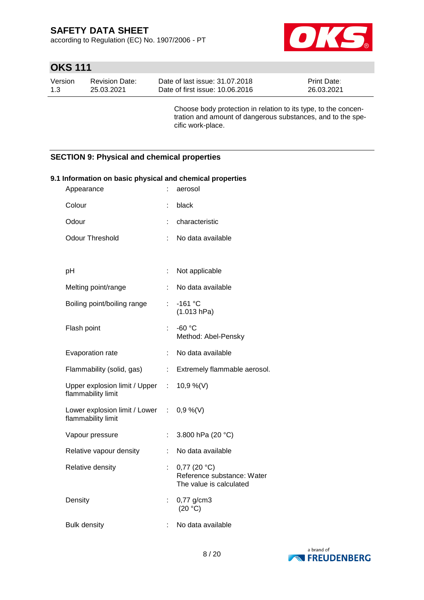according to Regulation (EC) No. 1907/2006 - PT



# **OKS 111**

| Version | Revision Date: | Date of last issue: 31.07.2018  | <b>Print Date:</b> |
|---------|----------------|---------------------------------|--------------------|
| 1.3     | 25.03.2021     | Date of first issue: 10.06.2016 | 26.03.2021         |

Choose body protection in relation to its type, to the concentration and amount of dangerous substances, and to the specific work-place.

### **SECTION 9: Physical and chemical properties**

| Information on basic physical and chemical properties<br>Appearance | ÷. | aerosol                                                                           |
|---------------------------------------------------------------------|----|-----------------------------------------------------------------------------------|
| Colour                                                              |    | black                                                                             |
| Odour                                                               | ÷  | characteristic                                                                    |
| <b>Odour Threshold</b>                                              | ÷  | No data available                                                                 |
|                                                                     |    |                                                                                   |
| pH                                                                  | ÷  | Not applicable                                                                    |
| Melting point/range                                                 |    | No data available                                                                 |
| Boiling point/boiling range                                         | ÷. | -161 °C<br>(1.013 hPa)                                                            |
| Flash point                                                         | ÷  | $-60 °C$<br>Method: Abel-Pensky                                                   |
| Evaporation rate                                                    | ÷. | No data available                                                                 |
| Flammability (solid, gas)                                           | ÷. | Extremely flammable aerosol.                                                      |
| Upper explosion limit / Upper : 10,9 %(V)<br>flammability limit     |    |                                                                                   |
| Lower explosion limit / Lower : 0,9 %(V)<br>flammability limit      |    |                                                                                   |
| Vapour pressure                                                     | ÷. | 3.800 hPa (20 °C)                                                                 |
| Relative vapour density                                             | ÷. | No data available                                                                 |
| Relative density                                                    |    | $0,77$ (20 $^{\circ}$ C)<br>Reference substance: Water<br>The value is calculated |
| Density                                                             | t. | 0,77 g/cm3<br>(20 °C)                                                             |
| <b>Bulk density</b>                                                 | t  | No data available                                                                 |

#### **9.1 Information on basic physical and chemical properties**

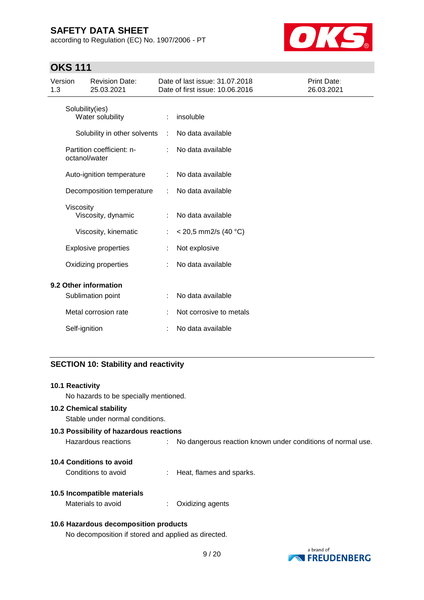according to Regulation (EC) No. 1907/2006 - PT



### **OKS 111**

| Version<br>1.3 |                 | <b>Revision Date:</b><br>25.03.2021        |   | Date of last issue: 31.07.2018<br>Date of first issue: 10.06.2016 | Print Date:<br>26.03.2021 |
|----------------|-----------------|--------------------------------------------|---|-------------------------------------------------------------------|---------------------------|
|                | Solubility(ies) | Water solubility                           |   | insoluble                                                         |                           |
|                |                 | Solubility in other solvents               | ÷ | No data available                                                 |                           |
|                |                 | Partition coefficient: n-<br>octanol/water |   | No data available                                                 |                           |
|                |                 | Auto-ignition temperature                  |   | No data available                                                 |                           |
|                |                 | Decomposition temperature                  |   | No data available                                                 |                           |
|                | Viscosity       | Viscosity, dynamic                         |   | No data available                                                 |                           |
|                |                 | Viscosity, kinematic                       |   | $<$ 20,5 mm2/s (40 °C)                                            |                           |
|                |                 | <b>Explosive properties</b>                |   | Not explosive                                                     |                           |
|                |                 | Oxidizing properties                       |   | No data available                                                 |                           |
|                |                 | 9.2 Other information<br>Sublimation point |   | No data available                                                 |                           |
|                |                 | Metal corrosion rate                       |   | Not corrosive to metals                                           |                           |
|                | Self-ignition   |                                            |   | No data available                                                 |                           |

### **SECTION 10: Stability and reactivity**

| 10.1 Reactivity |  |
|-----------------|--|
|-----------------|--|

No hazards to be specially mentioned.

#### **10.2 Chemical stability**

Stable under normal conditions.

# **10.3 Possibility of hazardous reactions** Hazardous reactions : No dangerous reaction known under conditions of normal use.

- **10.4 Conditions to avoid**
	- Conditions to avoid : Heat, flames and sparks.

### **10.5 Incompatible materials**

Materials to avoid : Oxidizing agents

#### **10.6 Hazardous decomposition products**

No decomposition if stored and applied as directed.

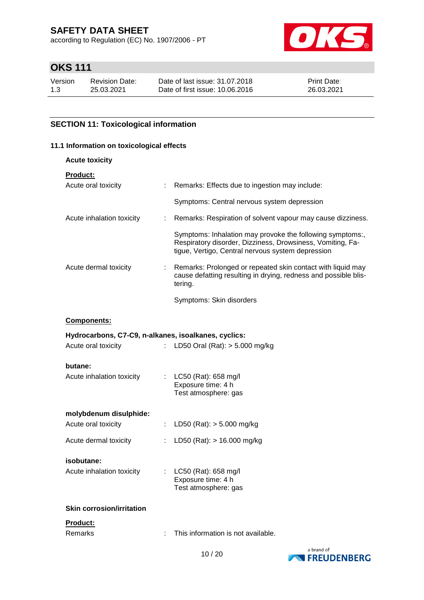according to Regulation (EC) No. 1907/2006 - PT



# **OKS 111**

| Version | <b>Revision Date:</b> | Date of last issue: 31.07.2018  | <b>Print Date:</b> |
|---------|-----------------------|---------------------------------|--------------------|
| 1.3     | 25.03.2021            | Date of first issue: 10.06.2016 | 26.03.2021         |

### **SECTION 11: Toxicological information**

#### **11.1 Information on toxicological effects**

| <b>Acute toxicity</b>                                |                           |                                                                                                                                                                              |
|------------------------------------------------------|---------------------------|------------------------------------------------------------------------------------------------------------------------------------------------------------------------------|
| Product:                                             |                           |                                                                                                                                                                              |
| Acute oral toxicity                                  | t.                        | Remarks: Effects due to ingestion may include:                                                                                                                               |
|                                                      |                           | Symptoms: Central nervous system depression                                                                                                                                  |
| Acute inhalation toxicity                            | ÷                         | Remarks: Respiration of solvent vapour may cause dizziness.                                                                                                                  |
|                                                      |                           | Symptoms: Inhalation may provoke the following symptoms:,<br>Respiratory disorder, Dizziness, Drowsiness, Vomiting, Fa-<br>tigue, Vertigo, Central nervous system depression |
| Acute dermal toxicity                                |                           | Remarks: Prolonged or repeated skin contact with liquid may<br>cause defatting resulting in drying, redness and possible blis-<br>tering.                                    |
|                                                      |                           | Symptoms: Skin disorders                                                                                                                                                     |
| <b>Components:</b>                                   |                           |                                                                                                                                                                              |
| Hydrocarbons, C7-C9, n-alkanes, isoalkanes, cyclics: |                           |                                                                                                                                                                              |
| Acute oral toxicity                                  |                           | : LD50 Oral (Rat): $> 5.000$ mg/kg                                                                                                                                           |
| butane:                                              |                           |                                                                                                                                                                              |
| Acute inhalation toxicity                            | $\mathbb{Z}^{\mathbb{Z}}$ | LC50 (Rat): 658 mg/l<br>Exposure time: 4 h<br>Test atmosphere: gas                                                                                                           |
| molybdenum disulphide:                               |                           |                                                                                                                                                                              |
| Acute oral toxicity                                  | t.                        | LD50 (Rat): $> 5.000$ mg/kg                                                                                                                                                  |
| Acute dermal toxicity                                |                           | LD50 (Rat): $> 16.000$ mg/kg                                                                                                                                                 |
| isobutane:                                           |                           |                                                                                                                                                                              |
| Acute inhalation toxicity                            |                           | : LC50 (Rat): 658 mg/l<br>Exposure time: 4 h<br>Test atmosphere: gas                                                                                                         |
| <b>Skin corrosion/irritation</b>                     |                           |                                                                                                                                                                              |
| Product:                                             |                           |                                                                                                                                                                              |
| Remarks                                              |                           | This information is not available.                                                                                                                                           |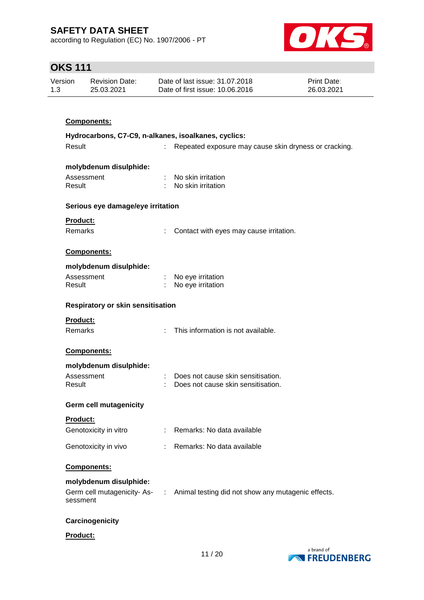according to Regulation (EC) No. 1907/2006 - PT



# **OKS 111**

| Version | Revision Date: | Date of last issue: 31.07.2018  | <b>Print Date:</b> |
|---------|----------------|---------------------------------|--------------------|
| 1.3     | 25.03.2021     | Date of first issue: 10.06.2016 | 26.03.2021         |

| Components:                                          |    |                                                       |
|------------------------------------------------------|----|-------------------------------------------------------|
| Hydrocarbons, C7-C9, n-alkanes, isoalkanes, cyclics: |    |                                                       |
| Result                                               |    | Repeated exposure may cause skin dryness or cracking. |
|                                                      |    |                                                       |
| molybdenum disulphide:                               |    |                                                       |
| Assessment                                           |    | No skin irritation                                    |
| Result                                               |    | : No skin irritation                                  |
| Serious eye damage/eye irritation                    |    |                                                       |
| <b>Product:</b>                                      |    |                                                       |
| <b>Remarks</b>                                       |    | Contact with eyes may cause irritation.               |
|                                                      |    |                                                       |
| Components:                                          |    |                                                       |
| molybdenum disulphide:                               |    |                                                       |
| Assessment                                           |    | No eye irritation                                     |
| Result                                               |    | No eye irritation                                     |
| <b>Respiratory or skin sensitisation</b>             |    |                                                       |
| Product:                                             |    |                                                       |
| <b>Remarks</b>                                       | ÷. | This information is not available.                    |
|                                                      |    |                                                       |
| Components:                                          |    |                                                       |
| molybdenum disulphide:                               |    |                                                       |
| Assessment                                           |    | Does not cause skin sensitisation.                    |
| Result                                               |    | Does not cause skin sensitisation.                    |
| <b>Germ cell mutagenicity</b>                        |    |                                                       |
| <b>Product:</b>                                      |    |                                                       |
| Genotoxicity in vitro                                |    | : Remarks: No data available                          |

Genotoxicity in vivo : Remarks: No data available

### **Components:**

### **molybdenum disulphide:**

| Germ cell mutagenicity-As- | Animal testing did not show any mutagenic effects. |
|----------------------------|----------------------------------------------------|
| sessment                   |                                                    |

#### **Carcinogenicity**

**Product:**

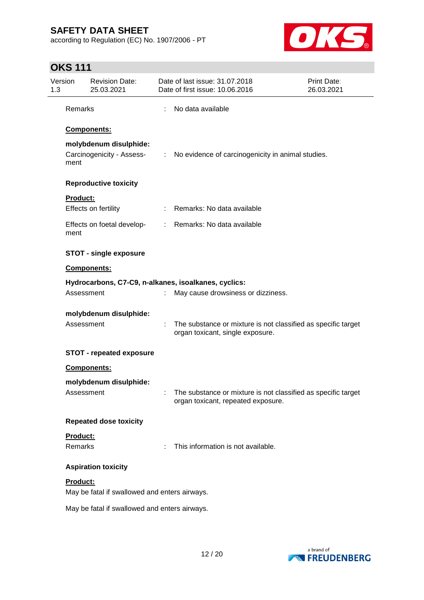according to Regulation (EC) No. 1907/2006 - PT



# **OKS 111**

| Version<br>1.3                    | <b>Revision Date:</b><br>25.03.2021                 | Date of last issue: 31.07.2018<br>Date of first issue: 10.06.2016                                   | <b>Print Date:</b><br>26.03.2021 |
|-----------------------------------|-----------------------------------------------------|-----------------------------------------------------------------------------------------------------|----------------------------------|
| Remarks                           |                                                     | No data available                                                                                   |                                  |
|                                   | Components:                                         |                                                                                                     |                                  |
| ment                              | molybdenum disulphide:<br>Carcinogenicity - Assess- | : No evidence of carcinogenicity in animal studies.                                                 |                                  |
|                                   | <b>Reproductive toxicity</b>                        |                                                                                                     |                                  |
| <b>Product:</b>                   | Effects on fertility                                | : Remarks: No data available                                                                        |                                  |
| ment                              | Effects on foetal develop-                          | : Remarks: No data available                                                                        |                                  |
|                                   | <b>STOT - single exposure</b>                       |                                                                                                     |                                  |
|                                   | Components:                                         |                                                                                                     |                                  |
|                                   | Assessment                                          | Hydrocarbons, C7-C9, n-alkanes, isoalkanes, cyclics:<br>May cause drowsiness or dizziness.          |                                  |
|                                   | molybdenum disulphide:<br>Assessment                | The substance or mixture is not classified as specific target<br>organ toxicant, single exposure.   |                                  |
|                                   | <b>STOT - repeated exposure</b>                     |                                                                                                     |                                  |
|                                   | Components:                                         |                                                                                                     |                                  |
|                                   | molybdenum disulphide:<br>Assessment                | The substance or mixture is not classified as specific target<br>organ toxicant, repeated exposure. |                                  |
|                                   | <b>Repeated dose toxicity</b>                       |                                                                                                     |                                  |
| <b>Product:</b><br><b>Remarks</b> |                                                     | This information is not available.                                                                  |                                  |
|                                   | <b>Aspiration toxicity</b>                          |                                                                                                     |                                  |
| Product:                          | May be fatal if swallowed and enters airways.       |                                                                                                     |                                  |
|                                   | May be fatal if swallowed and enters airways.       |                                                                                                     |                                  |

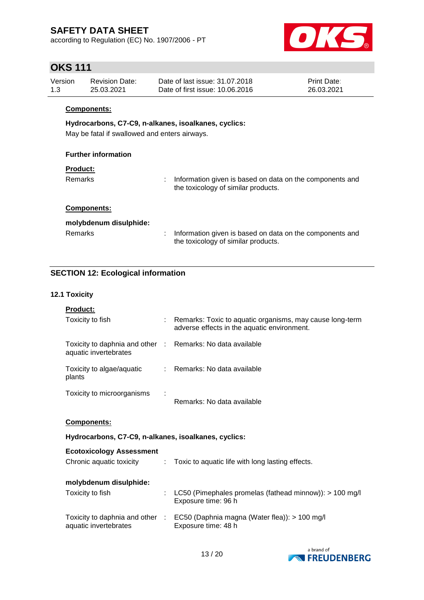according to Regulation (EC) No. 1907/2006 - PT



### **OKS 111**

| Version | Revision Date: | Date of last issue: 31,07,2018  | <b>Print Date:</b> |
|---------|----------------|---------------------------------|--------------------|
| 1.3     | 25.03.2021     | Date of first issue: 10.06.2016 | 26.03.2021         |

#### **Components:**

#### **Hydrocarbons, C7-C9, n-alkanes, isoalkanes, cyclics:**

May be fatal if swallowed and enters airways.

#### **Further information**

#### **Product:**

Remarks : Information given is based on data on the components and the toxicology of similar products.

#### **Components:**

| molybdenum disulphide: |                                                                                                   |
|------------------------|---------------------------------------------------------------------------------------------------|
| Remarks                | : Information given is based on data on the components and<br>the toxicology of similar products. |

### **SECTION 12: Ecological information**

#### **12.1 Toxicity**

| Product:                                                                            |                                                                                                           |
|-------------------------------------------------------------------------------------|-----------------------------------------------------------------------------------------------------------|
| Toxicity to fish                                                                    | : Remarks: Toxic to aquatic organisms, may cause long-term<br>adverse effects in the aquatic environment. |
| Toxicity to daphnia and other : Remarks: No data available<br>aquatic invertebrates |                                                                                                           |
| Toxicity to algae/aquatic<br>plants                                                 | : Remarks: No data available                                                                              |
| Toxicity to microorganisms                                                          | Remarks: No data available                                                                                |
| <b>Components:</b>                                                                  |                                                                                                           |
|                                                                                     | Hydrocarbons, C7-C9, n-alkanes, isoalkanes, cyclics:                                                      |
|                                                                                     |                                                                                                           |
| <b>Ecotoxicology Assessment</b><br>Chronic aquatic toxicity                         | : Toxic to aquatic life with long lasting effects.                                                        |
| molybdenum disulphide:                                                              |                                                                                                           |
| Toxicity to fish                                                                    | LC50 (Pimephales promelas (fathead minnow)): $> 100$ mg/l<br>Exposure time: 96 h                          |
| aquatic invertebrates                                                               | Toxicity to daphnia and other : EC50 (Daphnia magna (Water flea)): > 100 mg/l<br>Exposure time: 48 h      |

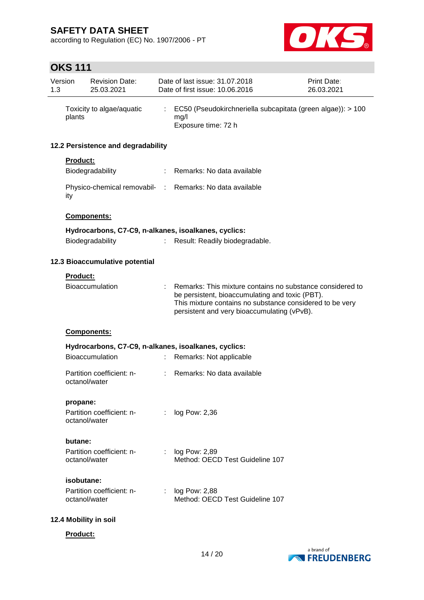according to Regulation (EC) No. 1907/2006 - PT



# **OKS 111**

| 1.3 | Version                                              | <b>Revision Date:</b><br>25.03.2021        |    | Date of last issue: 31.07.2018<br>Date of first issue: 10.06.2016                                                                                                                                                       | Print Date:<br>26.03.2021 |
|-----|------------------------------------------------------|--------------------------------------------|----|-------------------------------------------------------------------------------------------------------------------------------------------------------------------------------------------------------------------------|---------------------------|
|     | plants                                               | Toxicity to algae/aquatic                  |    | EC50 (Pseudokirchneriella subcapitata (green algae)): > 100<br>mg/l<br>Exposure time: 72 h                                                                                                                              |                           |
|     |                                                      | 12.2 Persistence and degradability         |    |                                                                                                                                                                                                                         |                           |
|     | <b>Product:</b>                                      |                                            |    |                                                                                                                                                                                                                         |                           |
|     |                                                      | Biodegradability                           |    | : Remarks: No data available                                                                                                                                                                                            |                           |
|     | ity                                                  |                                            |    | Physico-chemical removabil- : Remarks: No data available                                                                                                                                                                |                           |
|     |                                                      | <b>Components:</b>                         |    |                                                                                                                                                                                                                         |                           |
|     |                                                      |                                            |    | Hydrocarbons, C7-C9, n-alkanes, isoalkanes, cyclics:                                                                                                                                                                    |                           |
|     |                                                      | Biodegradability                           |    | Result: Readily biodegradable.                                                                                                                                                                                          |                           |
|     |                                                      | 12.3 Bioaccumulative potential             |    |                                                                                                                                                                                                                         |                           |
|     | <b>Product:</b>                                      |                                            |    |                                                                                                                                                                                                                         |                           |
|     |                                                      | <b>Bioaccumulation</b>                     |    | Remarks: This mixture contains no substance considered to<br>be persistent, bioaccumulating and toxic (PBT).<br>This mixture contains no substance considered to be very<br>persistent and very bioaccumulating (vPvB). |                           |
|     |                                                      | Components:                                |    |                                                                                                                                                                                                                         |                           |
|     | Hydrocarbons, C7-C9, n-alkanes, isoalkanes, cyclics: |                                            |    |                                                                                                                                                                                                                         |                           |
|     |                                                      | <b>Bioaccumulation</b>                     |    | Remarks: Not applicable                                                                                                                                                                                                 |                           |
|     |                                                      | Partition coefficient: n-<br>octanol/water |    | Remarks: No data available                                                                                                                                                                                              |                           |
|     | propane:                                             |                                            |    |                                                                                                                                                                                                                         |                           |
|     |                                                      | Partition coefficient: n-<br>octanol/water |    | log Pow: 2,36                                                                                                                                                                                                           |                           |
|     | butane:                                              |                                            |    |                                                                                                                                                                                                                         |                           |
|     |                                                      | Partition coefficient: n-<br>octanol/water |    | log Pow: 2,89<br>Method: OECD Test Guideline 107                                                                                                                                                                        |                           |
|     | isobutane:                                           |                                            |    |                                                                                                                                                                                                                         |                           |
|     |                                                      | Partition coefficient: n-<br>octanol/water | ÷. | log Pow: 2,88<br>Method: OECD Test Guideline 107                                                                                                                                                                        |                           |
|     |                                                      | 12.4 Mobility in soil                      |    |                                                                                                                                                                                                                         |                           |

**Product:**

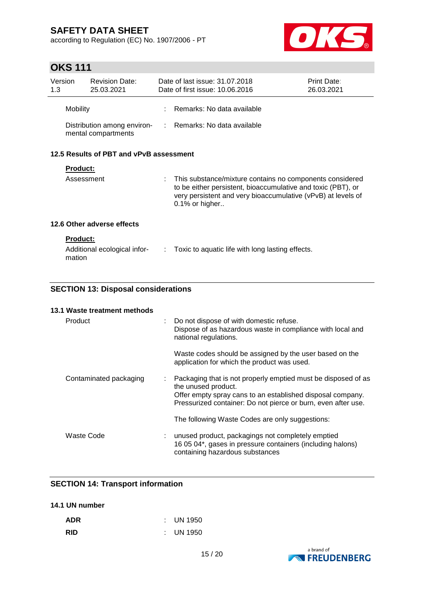according to Regulation (EC) No. 1907/2006 - PT



# **OKS 111**

| Version<br>1.3 |                                         | <b>Revision Date:</b><br>25.03.2021                |    | Date of last issue: 31.07.2018<br>Date of first issue: 10.06.2016                                                                                                                                               | Print Date:<br>26.03.2021 |
|----------------|-----------------------------------------|----------------------------------------------------|----|-----------------------------------------------------------------------------------------------------------------------------------------------------------------------------------------------------------------|---------------------------|
|                | Mobility                                |                                                    |    | Remarks: No data available                                                                                                                                                                                      |                           |
|                |                                         | Distribution among environ-<br>mental compartments |    | : Remarks: No data available                                                                                                                                                                                    |                           |
|                | 12.5 Results of PBT and vPvB assessment |                                                    |    |                                                                                                                                                                                                                 |                           |
|                | <b>Product:</b>                         |                                                    |    |                                                                                                                                                                                                                 |                           |
|                | Assessment                              |                                                    |    | : This substance/mixture contains no components considered<br>to be either persistent, bioaccumulative and toxic (PBT), or<br>very persistent and very bioaccumulative (vPvB) at levels of<br>$0.1\%$ or higher |                           |
|                |                                         | 12.6 Other adverse effects                         |    |                                                                                                                                                                                                                 |                           |
|                | <b>Product:</b><br>mation               | Additional ecological infor-                       | ÷. | Toxic to aquatic life with long lasting effects.                                                                                                                                                                |                           |

### **SECTION 13: Disposal considerations**

| 13.1 Waste treatment methods |                              |                                                                                                                                                                                                                     |
|------------------------------|------------------------------|---------------------------------------------------------------------------------------------------------------------------------------------------------------------------------------------------------------------|
| Product                      | $\mathcal{L}_{\mathrm{eff}}$ | Do not dispose of with domestic refuse.<br>Dispose of as hazardous waste in compliance with local and<br>national regulations.                                                                                      |
|                              |                              | Waste codes should be assigned by the user based on the<br>application for which the product was used.                                                                                                              |
| Contaminated packaging       | ÷.                           | Packaging that is not properly emptied must be disposed of as<br>the unused product.<br>Offer empty spray cans to an established disposal company.<br>Pressurized container: Do not pierce or burn, even after use. |
|                              |                              | The following Waste Codes are only suggestions:                                                                                                                                                                     |
| Waste Code                   |                              | unused product, packagings not completely emptied<br>16 05 04*, gases in pressure containers (including halons)<br>containing hazardous substances                                                                  |

### **SECTION 14: Transport information**

### **14.1 UN number**

| <b>ADR</b> | $\therefore$ UN 1950 |
|------------|----------------------|
| <b>RID</b> | $\therefore$ UN 1950 |

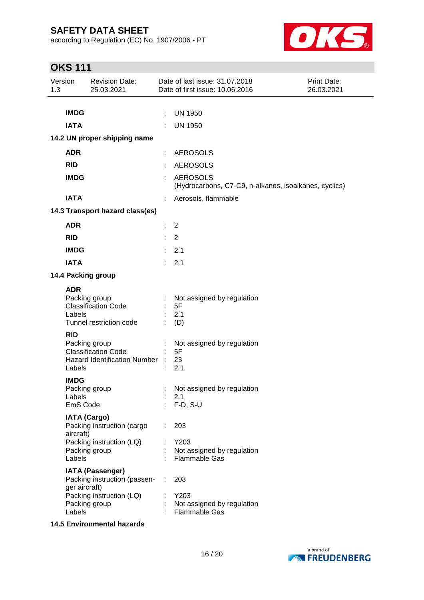according to Regulation (EC) No. 1907/2006 - PT



# **OKS 111**

| Version<br>1.3 |                                   | <b>Revision Date:</b><br>25.03.2021                                                                  |    | Date of last issue: 31.07.2018<br>Date of first issue: 10.06.2016        | <b>Print Date:</b><br>26.03.2021 |
|----------------|-----------------------------------|------------------------------------------------------------------------------------------------------|----|--------------------------------------------------------------------------|----------------------------------|
|                |                                   |                                                                                                      |    |                                                                          |                                  |
|                | <b>IMDG</b>                       |                                                                                                      | ÷  | <b>UN 1950</b>                                                           |                                  |
|                | <b>IATA</b>                       |                                                                                                      |    | <b>UN 1950</b>                                                           |                                  |
|                |                                   | 14.2 UN proper shipping name                                                                         |    |                                                                          |                                  |
|                | <b>ADR</b>                        |                                                                                                      |    | <b>AEROSOLS</b>                                                          |                                  |
|                | <b>RID</b>                        |                                                                                                      |    | <b>AEROSOLS</b>                                                          |                                  |
|                | <b>IMDG</b>                       |                                                                                                      | ÷  | <b>AEROSOLS</b><br>(Hydrocarbons, C7-C9, n-alkanes, isoalkanes, cyclics) |                                  |
|                | <b>IATA</b>                       |                                                                                                      |    | Aerosols, flammable                                                      |                                  |
|                |                                   | 14.3 Transport hazard class(es)                                                                      |    |                                                                          |                                  |
|                | <b>ADR</b>                        |                                                                                                      |    | $\overline{2}$                                                           |                                  |
|                | <b>RID</b>                        |                                                                                                      | t. | 2                                                                        |                                  |
|                | <b>IMDG</b>                       |                                                                                                      | t. | 2.1                                                                      |                                  |
|                | <b>IATA</b>                       |                                                                                                      |    | 2.1                                                                      |                                  |
|                |                                   | 14.4 Packing group                                                                                   |    |                                                                          |                                  |
|                | <b>ADR</b><br>Labels              | Packing group<br><b>Classification Code</b><br>Tunnel restriction code                               |    | Not assigned by regulation<br>5F<br>2.1<br>(D)                           |                                  |
|                | <b>RID</b><br>Labels              | Packing group<br><b>Classification Code</b><br><b>Hazard Identification Number</b>                   |    | Not assigned by regulation<br>5F<br>23<br>2.1                            |                                  |
|                | <b>IMDG</b><br>Labels<br>EmS Code | Packing group                                                                                        |    | Not assigned by regulation<br>2.1<br>$F-D, S-U$                          |                                  |
|                | aircraft)<br>Labels               | <b>IATA (Cargo)</b><br>Packing instruction (cargo<br>Packing instruction (LQ)<br>Packing group       |    | 203<br>Y203<br>Not assigned by regulation<br><b>Flammable Gas</b>        |                                  |
|                | ger aircraft)<br>Labels           | <b>IATA (Passenger)</b><br>Packing instruction (passen-<br>Packing instruction (LQ)<br>Packing group |    | 203<br>Y203<br>Not assigned by regulation<br>Flammable Gas               |                                  |

**14.5 Environmental hazards**

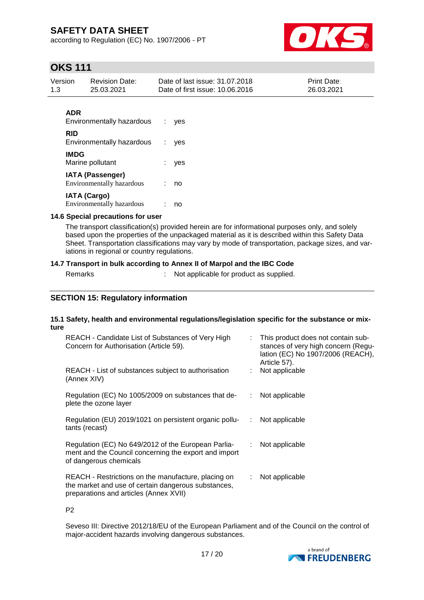according to Regulation (EC) No. 1907/2006 - PT



### **OKS 111**

| Version | Revision Date: | Date of last issue: 31.07.2018  | <b>Print Date:</b> |
|---------|----------------|---------------------------------|--------------------|
| 1.3     | 25.03.2021     | Date of first issue: 10.06.2016 | 26.03.2021         |

### **ADR**

| <b>Environmentally hazardous</b>                     | ves |
|------------------------------------------------------|-----|
| <b>RID</b><br>Environmentally hazardous              | ves |
| <b>IMDG</b><br>Marine pollutant                      | yes |
| <b>IATA (Passenger)</b><br>Environmentally hazardous | no  |
| <b>IATA (Cargo)</b><br>Environmentally hazardous     | no  |

#### **14.6 Special precautions for user**

The transport classification(s) provided herein are for informational purposes only, and solely based upon the properties of the unpackaged material as it is described within this Safety Data Sheet. Transportation classifications may vary by mode of transportation, package sizes, and variations in regional or country regulations.

#### **14.7 Transport in bulk according to Annex II of Marpol and the IBC Code**

Remarks : Not applicable for product as supplied.

### **SECTION 15: Regulatory information**

#### **15.1 Safety, health and environmental regulations/legislation specific for the substance or mixture**

| REACH - Candidate List of Substances of Very High<br>Concern for Authorisation (Article 59).                                                         |    | : This product does not contain sub-<br>stances of very high concern (Regu-<br>lation (EC) No 1907/2006 (REACH),<br>Article 57). |
|------------------------------------------------------------------------------------------------------------------------------------------------------|----|----------------------------------------------------------------------------------------------------------------------------------|
| REACH - List of substances subject to authorisation<br>(Annex XIV)                                                                                   |    | : Not applicable                                                                                                                 |
| Regulation (EC) No 1005/2009 on substances that de-<br>plete the ozone layer                                                                         | ÷. | Not applicable                                                                                                                   |
| Regulation (EU) 2019/1021 on persistent organic pollu-<br>tants (recast)                                                                             | ÷. | Not applicable                                                                                                                   |
| Regulation (EC) No 649/2012 of the European Parlia-<br>ment and the Council concerning the export and import<br>of dangerous chemicals               | ÷. | Not applicable                                                                                                                   |
| REACH - Restrictions on the manufacture, placing on<br>the market and use of certain dangerous substances,<br>preparations and articles (Annex XVII) | ÷. | Not applicable                                                                                                                   |

P2

Seveso III: Directive 2012/18/EU of the European Parliament and of the Council on the control of major-accident hazards involving dangerous substances.

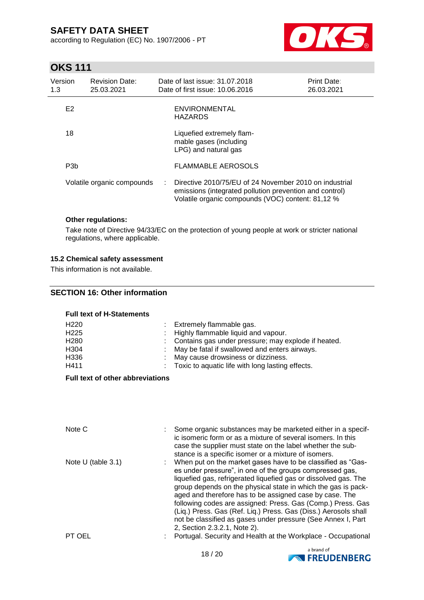according to Regulation (EC) No. 1907/2006 - PT



# **OKS 111**

| Version<br>1.3   | <b>Revision Date:</b><br>25.03.2021 |            | Date of last issue: 31.07.2018<br>Date of first issue: 10.06.2016                                                                                                      | <b>Print Date:</b><br>26.03.2021 |
|------------------|-------------------------------------|------------|------------------------------------------------------------------------------------------------------------------------------------------------------------------------|----------------------------------|
| E <sub>2</sub>   |                                     |            | <b>ENVIRONMENTAL</b><br><b>HAZARDS</b>                                                                                                                                 |                                  |
| 18               |                                     |            | Liquefied extremely flam-<br>mable gases (including<br>LPG) and natural gas                                                                                            |                                  |
| P <sub>3</sub> b |                                     |            | <b>FLAMMABLE AEROSOLS</b>                                                                                                                                              |                                  |
|                  | Volatile organic compounds          | $\sim 100$ | Directive 2010/75/EU of 24 November 2010 on industrial<br>emissions (integrated pollution prevention and control)<br>Volatile organic compounds (VOC) content: 81,12 % |                                  |

#### **Other regulations:**

Take note of Directive 94/33/EC on the protection of young people at work or stricter national regulations, where applicable.

#### **15.2 Chemical safety assessment**

This information is not available.

#### **SECTION 16: Other information**

#### **Full text of H-Statements**

| H <sub>220</sub><br>H <sub>225</sub><br>H <sub>280</sub><br>H <sub>304</sub><br>H336 | Extremely flammable gas.<br>: Highly flammable liquid and vapour.<br>: Contains gas under pressure; may explode if heated.<br>: May be fatal if swallowed and enters airways.<br>: May cause drowsiness or dizziness. |
|--------------------------------------------------------------------------------------|-----------------------------------------------------------------------------------------------------------------------------------------------------------------------------------------------------------------------|
| H411                                                                                 | : Toxic to aquatic life with long lasting effects.                                                                                                                                                                    |
|                                                                                      |                                                                                                                                                                                                                       |

#### **Full text of other abbreviations**

| Note C               | Some organic substances may be marketed either in a specif-<br>ic isomeric form or as a mixture of several isomers. In this<br>case the supplier must state on the label whether the sub-<br>stance is a specific isomer or a mixture of isomers.                                                                                                                                                                                                                                                                                                        |
|----------------------|----------------------------------------------------------------------------------------------------------------------------------------------------------------------------------------------------------------------------------------------------------------------------------------------------------------------------------------------------------------------------------------------------------------------------------------------------------------------------------------------------------------------------------------------------------|
| Note $U$ (table 3.1) | When put on the market gases have to be classified as "Gas-<br>es under pressure", in one of the groups compressed gas,<br>liquefied gas, refrigerated liquefied gas or dissolved gas. The<br>group depends on the physical state in which the gas is pack-<br>aged and therefore has to be assigned case by case. The<br>following codes are assigned: Press. Gas (Comp.) Press. Gas<br>(Liq.) Press. Gas (Ref. Liq.) Press. Gas (Diss.) Aerosols shall<br>not be classified as gases under pressure (See Annex I, Part<br>2, Section 2.3.2.1, Note 2). |
| PT OEL               | Portugal. Security and Health at the Workplace - Occupational                                                                                                                                                                                                                                                                                                                                                                                                                                                                                            |

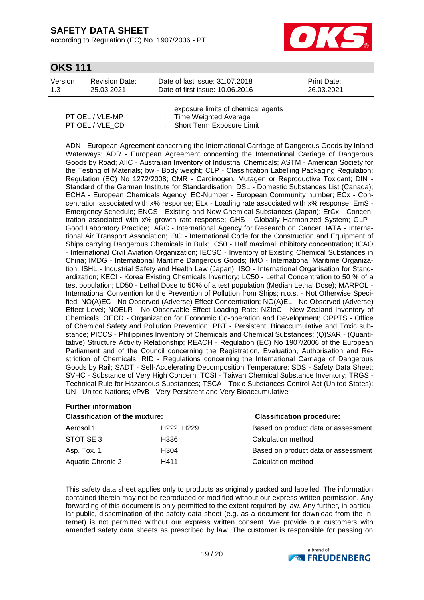**Further information**

according to Regulation (EC) No. 1907/2006 - PT



### **OKS 111**

| Version<br><b>Revision Date:</b><br>1.3<br>25.03.2021 | Date of last issue: 31.07.2018<br>Date of first issue: 10.06.2016 | <b>Print Date:</b><br>26.03.2021 |
|-------------------------------------------------------|-------------------------------------------------------------------|----------------------------------|
|-------------------------------------------------------|-------------------------------------------------------------------|----------------------------------|

|                 | exposure limits of chemical agents |
|-----------------|------------------------------------|
| PT OEL / VLE-MP | : Time Weighted Average            |
| PT OEL / VLE CD | : Short Term Exposure Limit        |

ADN - European Agreement concerning the International Carriage of Dangerous Goods by Inland Waterways; ADR - European Agreement concerning the International Carriage of Dangerous Goods by Road; AIIC - Australian Inventory of Industrial Chemicals; ASTM - American Society for the Testing of Materials; bw - Body weight; CLP - Classification Labelling Packaging Regulation; Regulation (EC) No 1272/2008; CMR - Carcinogen, Mutagen or Reproductive Toxicant; DIN - Standard of the German Institute for Standardisation; DSL - Domestic Substances List (Canada); ECHA - European Chemicals Agency; EC-Number - European Community number; ECx - Concentration associated with x% response; ELx - Loading rate associated with x% response; EmS - Emergency Schedule; ENCS - Existing and New Chemical Substances (Japan); ErCx - Concentration associated with x% growth rate response; GHS - Globally Harmonized System; GLP - Good Laboratory Practice; IARC - International Agency for Research on Cancer; IATA - International Air Transport Association; IBC - International Code for the Construction and Equipment of Ships carrying Dangerous Chemicals in Bulk; IC50 - Half maximal inhibitory concentration; ICAO - International Civil Aviation Organization; IECSC - Inventory of Existing Chemical Substances in China; IMDG - International Maritime Dangerous Goods; IMO - International Maritime Organization; ISHL - Industrial Safety and Health Law (Japan); ISO - International Organisation for Standardization; KECI - Korea Existing Chemicals Inventory; LC50 - Lethal Concentration to 50 % of a test population; LD50 - Lethal Dose to 50% of a test population (Median Lethal Dose); MARPOL - International Convention for the Prevention of Pollution from Ships; n.o.s. - Not Otherwise Specified; NO(A)EC - No Observed (Adverse) Effect Concentration; NO(A)EL - No Observed (Adverse) Effect Level; NOELR - No Observable Effect Loading Rate; NZIoC - New Zealand Inventory of Chemicals; OECD - Organization for Economic Co-operation and Development; OPPTS - Office of Chemical Safety and Pollution Prevention; PBT - Persistent, Bioaccumulative and Toxic substance; PICCS - Philippines Inventory of Chemicals and Chemical Substances; (Q)SAR - (Quantitative) Structure Activity Relationship; REACH - Regulation (EC) No 1907/2006 of the European Parliament and of the Council concerning the Registration, Evaluation, Authorisation and Restriction of Chemicals; RID - Regulations concerning the International Carriage of Dangerous Goods by Rail; SADT - Self-Accelerating Decomposition Temperature; SDS - Safety Data Sheet; SVHC - Substance of Very High Concern; TCSI - Taiwan Chemical Substance Inventory; TRGS - Technical Rule for Hazardous Substances; TSCA - Toxic Substances Control Act (United States); UN - United Nations; vPvB - Very Persistent and Very Bioaccumulative

| <b>Classification of the mixture:</b> |                                     | <b>Classification procedure:</b>    |  |  |
|---------------------------------------|-------------------------------------|-------------------------------------|--|--|
| Aerosol 1                             | H <sub>222</sub> , H <sub>229</sub> | Based on product data or assessment |  |  |
| STOT SE 3                             | H336                                | Calculation method                  |  |  |
| Asp. Tox. 1                           | H304                                | Based on product data or assessment |  |  |
| Aquatic Chronic 2                     | H411                                | Calculation method                  |  |  |

This safety data sheet applies only to products as originally packed and labelled. The information contained therein may not be reproduced or modified without our express written permission. Any forwarding of this document is only permitted to the extent required by law. Any further, in particular public, dissemination of the safety data sheet (e.g. as a document for download from the Internet) is not permitted without our express written consent. We provide our customers with amended safety data sheets as prescribed by law. The customer is responsible for passing on